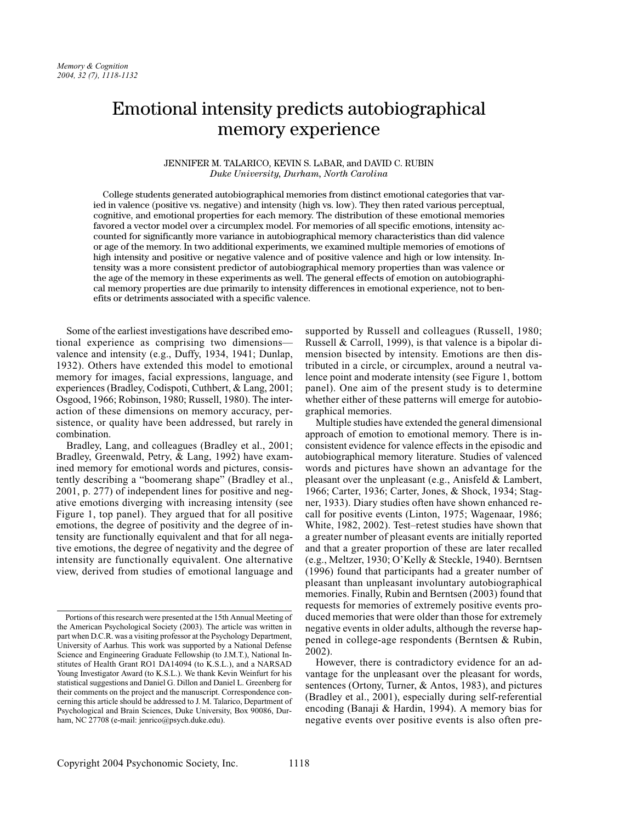# Emotional intensity predicts autobiographical memory experience

# JENNIFER M. TALARICO, KEVIN S. LABAR, and DAVID C. RUBIN Duke University, Durham, North Carolina

College students generated autobiographical memories from distinct emotional categories that varied in valence (positive vs. negative) and intensity (high vs. low). They then rated various perceptual, cognitive, and emotional properties for each memory. The distribution of these emotional memories favored a vector model over a circumplex model. For memories of all specific emotions, intensity accounted for significantly more variance in autobiographical memory characteristics than did valence or age of the memory. In two additional experiments, we examined multiple memories of emotions of high intensity and positive or negative valence and of positive valence and high or low intensity. Intensity was a more consistent predictor of autobiographical memory properties than was valence or the age of the memory in these experiments as well. The general effects of emotion on autobiographical memory properties are due primarily to intensity differences in emotional experience, not to benefits or detriments associated with a specific valence.

Some of the earliest investigations have described emotional experience as comprising two dimensions valence and intensity (e.g., Duffy, 1934, 1941; Dunlap, 1932). Others have extended this model to emotional memory for images, facial expressions, language, and experiences (Bradley, Codispoti, Cuthbert, & Lang, 2001; Osgood, 1966; Robinson, 1980; Russell, 1980). The interaction of these dimensions on memory accuracy, persistence, or quality have been addressed, but rarely in combination.

Bradley, Lang, and colleagues (Bradley et al., 2001; Bradley, Greenwald, Petry, & Lang, 1992) have examined memory for emotional words and pictures, consistently describing a "boomerang shape" (Bradley et al., 2001, p. 277) of independent lines for positive and negative emotions diverging with increasing intensity (see Figure 1, top panel). They argued that for all positive emotions, the degree of positivity and the degree of intensity are functionally equivalent and that for all negative emotions, the degree of negativity and the degree of intensity are functionally equivalent. One alternative view, derived from studies of emotional language and

supported by Russell and colleagues (Russell, 1980; Russell & Carroll, 1999), is that valence is a bipolar dimension bisected by intensity. Emotions are then distributed in a circle, or circumplex, around a neutral valence point and moderate intensity (see Figure 1, bottom panel). One aim of the present study is to determine whether either of these patterns will emerge for autobiographical memories.

Multiple studies have extended the general dimensional approach of emotion to emotional memory. There is inconsistent evidence for valence effects in the episodic and autobiographical memory literature. Studies of valenced words and pictures have shown an advantage for the pleasant over the unpleasant (e.g., Anisfeld & Lambert, 1966; Carter, 1936; Carter, Jones, & Shock, 1934; Stagner, 1933). Diary studies often have shown enhanced recall for positive events (Linton, 1975; Wagenaar, 1986; White, 1982, 2002). Test-retest studies have shown that a greater number of pleasant events are initially reported and that a greater proportion of these are later recalled (e.g., Meltzer, 1930; O'Kelly & Steckle, 1940). Berntsen (1996) found that participants had a greater number of pleasant than unpleasant involuntary autobiographical memories. Finally, Rubin and Berntsen (2003) found that requests for memories of extremely positive events produced memories that were older than those for extremely negative events in older adults, although the reverse happened in college-age respondents (Berntsen & Rubin, 2002).

However, there is contradictory evidence for an advantage for the unpleasant over the pleasant for words, sentences (Ortony, Turner, & Antos, 1983), and pictures (Bradley et al., 2001), especially during self-referential encoding (Banaji & Hardin, 1994). A memory bias for negative events over positive events is also often pre-

Portions of this research were presented at the 15th Annual Meeting of the American Psychological Society (2003). The article was written in part when D.C.R. was a visiting professor at the Psychology Department, University of Aarhus. This work was supported by a National Defense Science and Engineering Graduate Fellowship (to J.M.T.), National Institutes of Health Grant RO1 DA14094 (to K.S.L.), and a NARSAD Young Investigator Award (to K.S.L.). We thank Kevin Weinfurt for his statistical suggestions and Daniel G. Dillon and Daniel L. Greenberg for their comments on the project and the manuscript. Correspondence concerning this article should be addressed to J. M. Talarico, Department of Psychological and Brain Sciences, Duke University, Box 90086, Durham, NC 27708 (e-mail: jenrico@psych.duke.edu).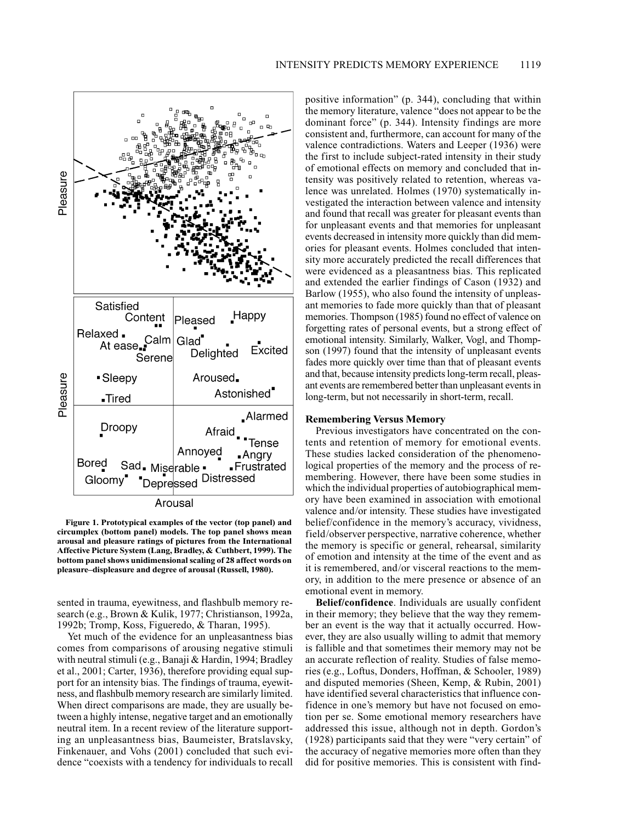

Figure 1. Prototypical examples of the vector (top panel) and circumplex (bottom panel) models. The top panel shows mean arousal and pleasure ratings of pictures from the International Affective Picture System (Lang, Bradley, & Cuthbert, 1999). The bottom panel shows unidimensional scaling of 28 affect words on pleasure-displeasure and degree of arousal (Russell, 1980).

sented in trauma, eyewitness, and flashbulb memory research (e.g., Brown & Kulik, 1977; Christianson, 1992a, 1992b; Tromp, Koss, Figueredo, & Tharan, 1995).

Yet much of the evidence for an unpleasantness bias comes from comparisons of arousing negative stimuli with neutral stimuli (e.g., Banaji & Hardin, 1994; Bradley et al., 2001; Carter, 1936), therefore providing equal support for an intensity bias. The findings of trauma, eyewitness, and flashbulb memory research are similarly limited. When direct comparisons are made, they are usually between a highly intense, negative target and an emotionally neutral item. In a recent review of the literature supporting an unpleasantness bias, Baumeister, Bratslavsky, Finkenauer, and Vohs (2001) concluded that such evidence "coexists with a tendency for individuals to recall

positive information" (p. 344), concluding that within the memory literature, valence "does not appear to be the dominant force" (p. 344). Intensity findings are more consistent and, furthermore, can account for many of the valence contradictions. Waters and Leeper (1936) were the first to include subject-rated intensity in their study of emotional effects on memory and concluded that intensity was positively related to retention, whereas valence was unrelated. Holmes (1970) systematically investigated the interaction between valence and intensity and found that recall was greater for pleasant events than for unpleasant events and that memories for unpleasant events decreased in intensity more quickly than did memories for pleasant events. Holmes concluded that intensity more accurately predicted the recall differences that were evidenced as a pleasantness bias. This replicated and extended the earlier findings of Cason (1932) and Barlow (1955), who also found the intensity of unpleasant memories to fade more quickly than that of pleasant memories. Thompson (1985) found no effect of valence on forgetting rates of personal events, but a strong effect of emotional intensity. Similarly, Walker, Vogl, and Thompson (1997) found that the intensity of unpleasant events fades more quickly over time than that of pleasant events and that, because intensity predicts long-term recall, pleasant events are remembered better than unpleasant events in long-term, but not necessarily in short-term, recall.

## **Remembering Versus Memory**

Previous investigators have concentrated on the contents and retention of memory for emotional events. These studies lacked consideration of the phenomenological properties of the memory and the process of remembering. However, there have been some studies in which the individual properties of autobiographical memory have been examined in association with emotional valence and/or intensity. These studies have investigated belief/confidence in the memory's accuracy, vividness, field/observer perspective, narrative coherence, whether the memory is specific or general, rehearsal, similarity of emotion and intensity at the time of the event and as it is remembered, and/or visceral reactions to the memory, in addition to the mere presence or absence of an emotional event in memory.

Belief/confidence. Individuals are usually confident in their memory; they believe that the way they remember an event is the way that it actually occurred. However, they are also usually willing to admit that memory is fallible and that sometimes their memory may not be an accurate reflection of reality. Studies of false memories (e.g., Loftus, Donders, Hoffman, & Schooler, 1989) and disputed memories (Sheen, Kemp, & Rubin, 2001) have identified several characteristics that influence confidence in one's memory but have not focused on emotion per se. Some emotional memory researchers have addressed this issue, although not in depth. Gordon's (1928) participants said that they were "very certain" of the accuracy of negative memories more often than they did for positive memories. This is consistent with find-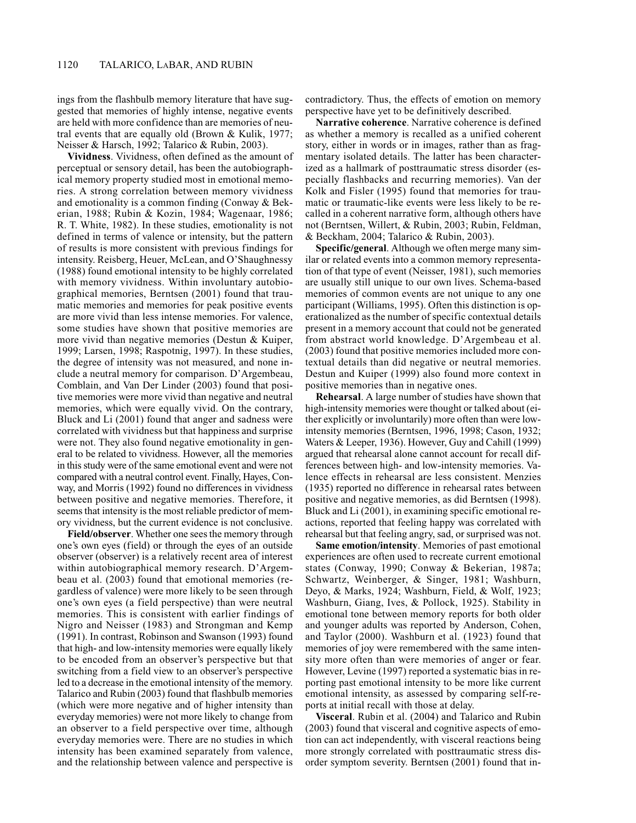ings from the flashbulb memory literature that have suggested that memories of highly intense, negative events are held with more confidence than are memories of neutral events that are equally old (Brown & Kulik, 1977; Neisser & Harsch, 1992; Talarico & Rubin, 2003).

**Vividness.** Vividness, often defined as the amount of perceptual or sensory detail, has been the autobiographical memory property studied most in emotional memories. A strong correlation between memory vividness and emotionality is a common finding (Conway & Bekerian, 1988; Rubin & Kozin, 1984; Wagenaar, 1986; R. T. White, 1982). In these studies, emotionality is not defined in terms of valence or intensity, but the pattern of results is more consistent with previous findings for intensity. Reisberg, Heuer, McLean, and O'Shaughnessy (1988) found emotional intensity to be highly correlated with memory vividness. Within involuntary autobiographical memories, Berntsen (2001) found that traumatic memories and memories for peak positive events are more vivid than less intense memories. For valence, some studies have shown that positive memories are more vivid than negative memories (Destun & Kuiper, 1999; Larsen, 1998; Raspotnig, 1997). In these studies, the degree of intensity was not measured, and none include a neutral memory for comparison. D'Argembeau, Comblain, and Van Der Linder (2003) found that positive memories were more vivid than negative and neutral memories, which were equally vivid. On the contrary, Bluck and Li (2001) found that anger and sadness were correlated with vividness but that happiness and surprise were not. They also found negative emotionality in general to be related to vividness. However, all the memories in this study were of the same emotional event and were not compared with a neutral control event. Finally, Hayes, Conway, and Morris (1992) found no differences in vividness between positive and negative memories. Therefore, it seems that intensity is the most reliable predictor of memory vividness, but the current evidence is not conclusive.

**Field/observer.** Whether one sees the memory through one's own eyes (field) or through the eyes of an outside observer (observer) is a relatively recent area of interest within autobiographical memory research. D'Argembeau et al. (2003) found that emotional memories (regardless of valence) were more likely to be seen through one's own eyes (a field perspective) than were neutral memories. This is consistent with earlier findings of Nigro and Neisser (1983) and Strongman and Kemp (1991). In contrast, Robinson and Swanson (1993) found that high- and low-intensity memories were equally likely to be encoded from an observer's perspective but that switching from a field view to an observer's perspective led to a decrease in the emotional intensity of the memory. Talarico and Rubin (2003) found that flashbulb memories (which were more negative and of higher intensity than everyday memories) were not more likely to change from an observer to a field perspective over time, although everyday memories were. There are no studies in which intensity has been examined separately from valence, and the relationship between valence and perspective is

contradictory. Thus, the effects of emotion on memory perspective have yet to be definitively described.

Narrative coherence. Narrative coherence is defined as whether a memory is recalled as a unified coherent story, either in words or in images, rather than as fragmentary isolated details. The latter has been characterized as a hallmark of posttraumatic stress disorder (especially flashbacks and recurring memories). Van der Kolk and Fisler (1995) found that memories for traumatic or traumatic-like events were less likely to be recalled in a coherent narrative form, although others have not (Berntsen, Willert, & Rubin, 2003; Rubin, Feldman, & Beckham, 2004; Talarico & Rubin, 2003).

Specific/general. Although we often merge many similar or related events into a common memory representation of that type of event (Neisser, 1981), such memories are usually still unique to our own lives. Schema-based memories of common events are not unique to any one participant (Williams, 1995). Often this distinction is operationalized as the number of specific contextual details present in a memory account that could not be generated from abstract world knowledge. D'Argembeau et al. (2003) found that positive memories included more contextual details than did negative or neutral memories. Destun and Kuiper (1999) also found more context in positive memories than in negative ones.

**Rehearsal.** A large number of studies have shown that high-intensity memories were thought or talked about (either explicitly or involuntarily) more often than were lowintensity memories (Berntsen, 1996, 1998; Cason, 1932; Waters & Leeper, 1936). However, Guy and Cahill (1999) argued that rehearsal alone cannot account for recall differences between high- and low-intensity memories. Valence effects in rehearsal are less consistent. Menzies (1935) reported no difference in rehearsal rates between positive and negative memories, as did Berntsen (1998). Bluck and Li (2001), in examining specific emotional reactions, reported that feeling happy was correlated with rehearsal but that feeling angry, sad, or surprised was not.

Same emotion/intensity. Memories of past emotional experiences are often used to recreate current emotional states (Conway, 1990; Conway & Bekerian, 1987a; Schwartz, Weinberger, & Singer, 1981; Washburn, Deyo, & Marks, 1924; Washburn, Field, & Wolf, 1923; Washburn, Giang, Ives, & Pollock, 1925). Stability in emotional tone between memory reports for both older and younger adults was reported by Anderson, Cohen, and Taylor (2000). Washburn et al. (1923) found that memories of joy were remembered with the same intensity more often than were memories of anger or fear. However, Levine (1997) reported a systematic bias in reporting past emotional intensity to be more like current emotional intensity, as assessed by comparing self-reports at initial recall with those at delay.

**Visceral.** Rubin et al. (2004) and Talarico and Rubin (2003) found that visceral and cognitive aspects of emotion can act independently, with visceral reactions being more strongly correlated with posttraumatic stress disorder symptom severity. Berntsen (2001) found that in-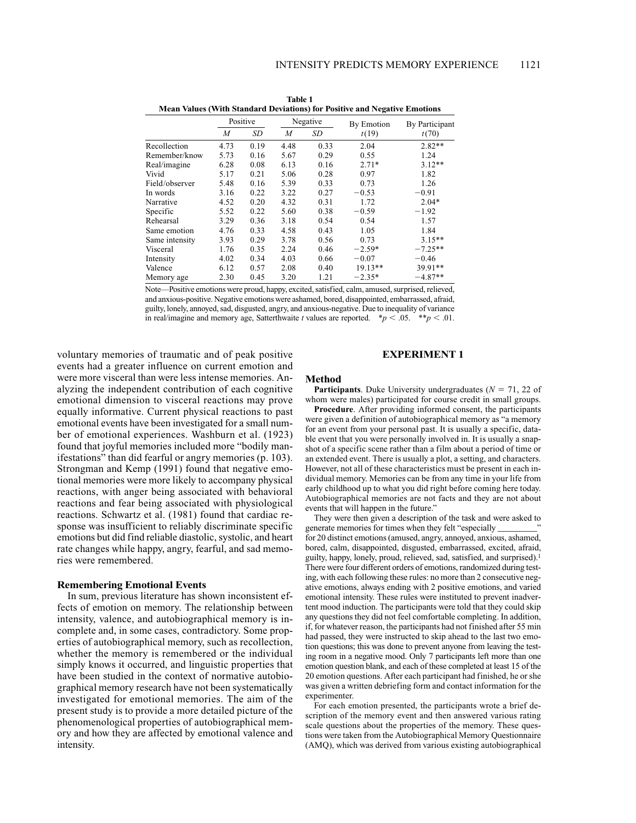|                | Positive |           |      | Negative | By Emotion | By Participant |  |
|----------------|----------|-----------|------|----------|------------|----------------|--|
|                | M        | <b>SD</b> | M    | SD       | t(19)      | t(70)          |  |
| Recollection   | 4.73     | 0.19      | 4.48 | 0.33     | 2.04       | $2.82**$       |  |
| Remember/know  | 5.73     | 0.16      | 5.67 | 0.29     | 0.55       | 1.24           |  |
| Real/imagine   | 6.28     | 0.08      | 6.13 | 0.16     | $2.71*$    | $3.12**$       |  |
| Vivid          | 5.17     | 0.21      | 5.06 | 0.28     | 0.97       | 1.82           |  |
| Field/observer | 5.48     | 0.16      | 5.39 | 0.33     | 0.73       | 1.26           |  |
| In words       | 3.16     | 0.22      | 3.22 | 0.27     | $-0.53$    | $-0.91$        |  |
| Narrative      | 4.52     | 0.20      | 4.32 | 0.31     | 1.72       | $2.04*$        |  |
| Specific       | 5.52     | 0.22      | 5.60 | 0.38     | $-0.59$    | $-1.92$        |  |
| Rehearsal      | 3.29     | 0.36      | 3.18 | 0.54     | 0.54       | 1.57           |  |
| Same emotion   | 4.76     | 0.33      | 4.58 | 0.43     | 1.05       | 1.84           |  |
| Same intensity | 3.93     | 0.29      | 3.78 | 0.56     | 0.73       | $3.15***$      |  |
| Visceral       | 1.76     | 0.35      | 2.24 | 0.46     | $-2.59*$   | $-7.25**$      |  |
| Intensity      | 4.02     | 0.34      | 4.03 | 0.66     | $-0.07$    | $-0.46$        |  |
| Valence        | 6.12     | 0.57      | 2.08 | 0.40     | $19.13**$  | 39.91**        |  |
| Memory age     | 2.30     | 0.45      | 3.20 | 1.21     | $-2.35*$   | $-4.87**$      |  |

| 'Table 1                                                                         |
|----------------------------------------------------------------------------------|
| <b>Mean Values (With Standard Deviations) for Positive and Negative Emotions</b> |

Note-Positive emotions were proud, happy, excited, satisfied, calm, amused, surprised, relieved, and anxious-positive. Negative emotions were ashamed, bored, disappointed, embarrassed, afraid, guilty, lonely, annoyed, sad, disgusted, angry, and anxious-negative. Due to inequality of variance in real/imagine and memory age, Satterthwaite t values are reported.  $*_{p} < .05$ .  $*_{p} < .01$ .

voluntary memories of traumatic and of peak positive events had a greater influence on current emotion and were more visceral than were less intense memories. Analyzing the independent contribution of each cognitive emotional dimension to visceral reactions may prove equally informative. Current physical reactions to past emotional events have been investigated for a small number of emotional experiences. Washburn et al. (1923) found that joyful memories included more "bodily manifestations" than did fearful or angry memories (p. 103). Strongman and Kemp (1991) found that negative emotional memories were more likely to accompany physical reactions, with anger being associated with behavioral reactions and fear being associated with physiological reactions. Schwartz et al. (1981) found that cardiac response was insufficient to reliably discriminate specific emotions but did find reliable diastolic, systolic, and heart rate changes while happy, angry, fearful, and sad memories were remembered.

#### **Remembering Emotional Events**

In sum, previous literature has shown inconsistent effects of emotion on memory. The relationship between intensity, valence, and autobiographical memory is incomplete and, in some cases, contradictory. Some properties of autobiographical memory, such as recollection, whether the memory is remembered or the individual simply knows it occurred, and linguistic properties that have been studied in the context of normative autobiographical memory research have not been systematically investigated for emotional memories. The aim of the present study is to provide a more detailed picture of the phenomenological properties of autobiographical memory and how they are affected by emotional valence and intensity.

# **EXPERIMENT 1**

# Method

**Participants.** Duke University undergraduates ( $N = 71$ , 22 of whom were males) participated for course credit in small groups.

Procedure. After providing informed consent, the participants were given a definition of autobiographical memory as "a memory for an event from your personal past. It is usually a specific, datable event that you were personally involved in. It is usually a snapshot of a specific scene rather than a film about a period of time or an extended event. There is usually a plot, a setting, and characters. However, not all of these characteristics must be present in each individual memory. Memories can be from any time in your life from early childhood up to what you did right before coming here today. Autobiographical memories are not facts and they are not about events that will happen in the future."

They were then given a description of the task and were asked to generate memories for times when they felt "especially for 20 distinct emotions (amused, angry, annoyed, anxious, ashamed, bored, calm, disappointed, disgusted, embarrassed, excited, afraid, guilty, happy, lonely, proud, relieved, sad, satisfied, and surprised).<sup>1</sup> There were four different orders of emotions, randomized during testing, with each following these rules: no more than 2 consecutive negative emotions, always ending with 2 positive emotions, and varied emotional intensity. These rules were instituted to prevent inadvertent mood induction. The participants were told that they could skip any questions they did not feel comfortable completing. In addition, if, for whatever reason, the participants had not finished after 55 min had passed, they were instructed to skip ahead to the last two emotion questions; this was done to prevent anyone from leaving the testing room in a negative mood. Only 7 participants left more than one emotion question blank, and each of these completed at least 15 of the 20 emotion questions. After each participant had finished, he or she was given a written debriefing form and contact information for the experimenter.

For each emotion presented, the participants wrote a brief description of the memory event and then answered various rating scale questions about the properties of the memory. These questions were taken from the Autobiographical Memory Questionnaire (AMQ), which was derived from various existing autobiographical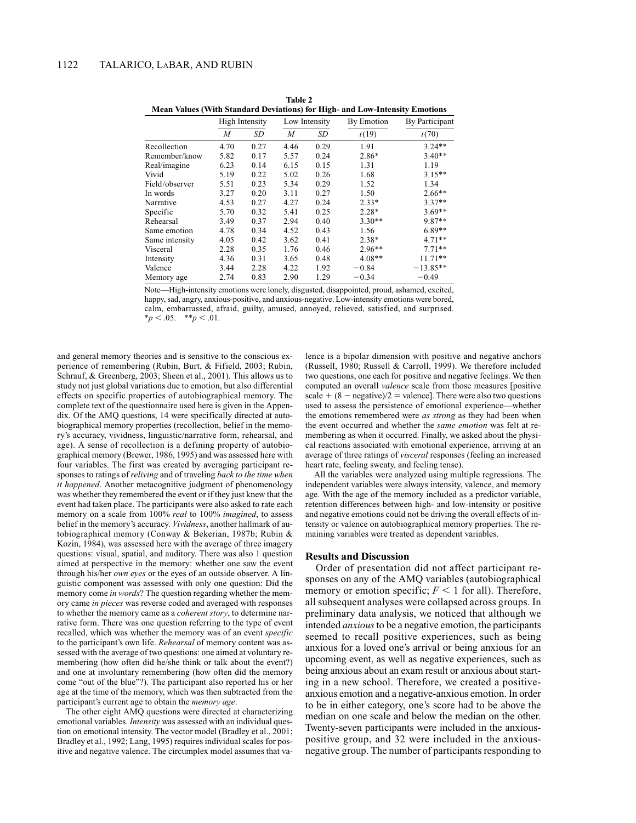|                | High Intensity |           |      | Low Intensity | By Emotion | By Participant |  |
|----------------|----------------|-----------|------|---------------|------------|----------------|--|
|                | M              | <b>SD</b> | M    | SD            | t(19)      | t(70)          |  |
| Recollection   | 4.70           | 0.27      | 4.46 | 0.29          | 1.91       | $3.24**$       |  |
| Remember/know  | 5.82           | 0.17      | 5.57 | 0.24          | $2.86*$    | $3.40**$       |  |
| Real/imagine   | 6.23           | 0.14      | 6.15 | 0.15          | 1.31       | 1.19           |  |
| Vivid          | 5.19           | 0.22      | 5.02 | 0.26          | 1.68       | $3.15***$      |  |
| Field/observer | 5.51           | 0.23      | 5.34 | 0.29          | 1.52       | 1.34           |  |
| In words       | 3.27           | 0.20      | 3.11 | 0.27          | 1.50       | $2.66**$       |  |
| Narrative      | 4.53           | 0.27      | 4.27 | 0.24          | $2.33*$    | $3.37**$       |  |
| Specific       | 5.70           | 0.32      | 5.41 | 0.25          | $2.28*$    | $3.69**$       |  |
| Rehearsal      | 3.49           | 0.37      | 2.94 | 0.40          | $3.30**$   | 9.87**         |  |
| Same emotion   | 4.78           | 0.34      | 4.52 | 0.43          | 1.56       | $6.89**$       |  |
| Same intensity | 4.05           | 0.42      | 3.62 | 0.41          | $2.38*$    | $4.71**$       |  |
| Visceral       | 2.28           | 0.35      | 1.76 | 0.46          | $2.96**$   | $7.71**$       |  |
| Intensity      | 4.36           | 0.31      | 3.65 | 0.48          | $4.08**$   | $11.71**$      |  |
| Valence        | 3.44           | 2.28      | 4.22 | 1.92          | $-0.84$    | $-13.85**$     |  |
| Memory age     | 2.74           | 0.83      | 2.90 | 1.29          | $-0.34$    | $-0.49$        |  |

Table 2 **Mean Values (With Standard Deviations) for High- and Low-Intensity Emotions** 

Note-High-intensity emotions were lonely, disgusted, disappointed, proud, ashamed, excited, happy, sad, angry, anxious-positive, and anxious-negative. Low-intensity emotions were bored, calm, embarrassed, afraid, guilty, amused, annoyed, relieved, satisfied, and surprised. \* $p < .05.$  \*\* $p < .01.$ 

and general memory theories and is sensitive to the conscious experience of remembering (Rubin, Burt, & Fifield, 2003; Rubin, Schrauf, & Greenberg, 2003; Sheen et al., 2001). This allows us to study not just global variations due to emotion, but also differential effects on specific properties of autobiographical memory. The complete text of the questionnaire used here is given in the Appendix. Of the AMO questions, 14 were specifically directed at autobiographical memory properties (recollection, belief in the memory's accuracy, vividness, linguistic/narrative form, rehearsal, and age). A sense of recollection is a defining property of autobiographical memory (Brewer, 1986, 1995) and was assessed here with four variables. The first was created by averaging participant responses to ratings of reliving and of traveling back to the time when it happened. Another metacognitive judgment of phenomenology was whether they remembered the event or if they just knew that the event had taken place. The participants were also asked to rate each memory on a scale from 100% real to 100% imagined, to assess belief in the memory's accuracy. *Vividness*, another hallmark of autobiographical memory (Conway & Bekerian, 1987b; Rubin & Kozin, 1984), was assessed here with the average of three imagery questions: visual, spatial, and auditory. There was also 1 question aimed at perspective in the memory: whether one saw the event through his/her *own eyes* or the eyes of an outside observer. A linguistic component was assessed with only one question: Did the memory come in words? The question regarding whether the memory came in pieces was reverse coded and averaged with responses to whether the memory came as a *coherent story*, to determine narrative form. There was one question referring to the type of event recalled, which was whether the memory was of an event specific to the participant's own life. Rehearsal of memory content was assessed with the average of two questions: one aimed at voluntary remembering (how often did he/she think or talk about the event?) and one at involuntary remembering (how often did the memory come "out of the blue"?). The participant also reported his or her age at the time of the memory, which was then subtracted from the participant's current age to obtain the *memory age*.

The other eight AMQ questions were directed at characterizing emotional variables. *Intensity* was assessed with an individual question on emotional intensity. The vector model (Bradley et al., 2001; Bradley et al., 1992; Lang, 1995) requires individual scales for positive and negative valence. The circumplex model assumes that valence is a bipolar dimension with positive and negative anchors (Russell, 1980; Russell & Carroll, 1999). We therefore included two questions, one each for positive and negative feelings. We then computed an overall *valence* scale from those measures [positive scale  $+$  (8 – negative)/2 = valence]. There were also two questions used to assess the persistence of emotional experience—whether the emotions remembered were *as strong* as they had been when the event occurred and whether the same emotion was felt at remembering as when it occurred. Finally, we asked about the physical reactions associated with emotional experience, arriving at an average of three ratings of visceral responses (feeling an increased heart rate, feeling sweaty, and feeling tense).

All the variables were analyzed using multiple regressions. The independent variables were always intensity, valence, and memory age. With the age of the memory included as a predictor variable, retention differences between high- and low-intensity or positive and negative emotions could not be driving the overall effects of intensity or valence on autobiographical memory properties. The remaining variables were treated as dependent variables.

## **Results and Discussion**

Order of presentation did not affect participant responses on any of the AMQ variables (autobiographical memory or emotion specific;  $F \leq 1$  for all). Therefore, all subsequent analyses were collapsed across groups. In preliminary data analysis, we noticed that although we intended *anxious* to be a negative emotion, the participants seemed to recall positive experiences, such as being anxious for a loved one's arrival or being anxious for an upcoming event, as well as negative experiences, such as being anxious about an exam result or anxious about starting in a new school. Therefore, we created a positiveanxious emotion and a negative-anxious emotion. In order to be in either category, one's score had to be above the median on one scale and below the median on the other. Twenty-seven participants were included in the anxiouspositive group, and 32 were included in the anxiousnegative group. The number of participants responding to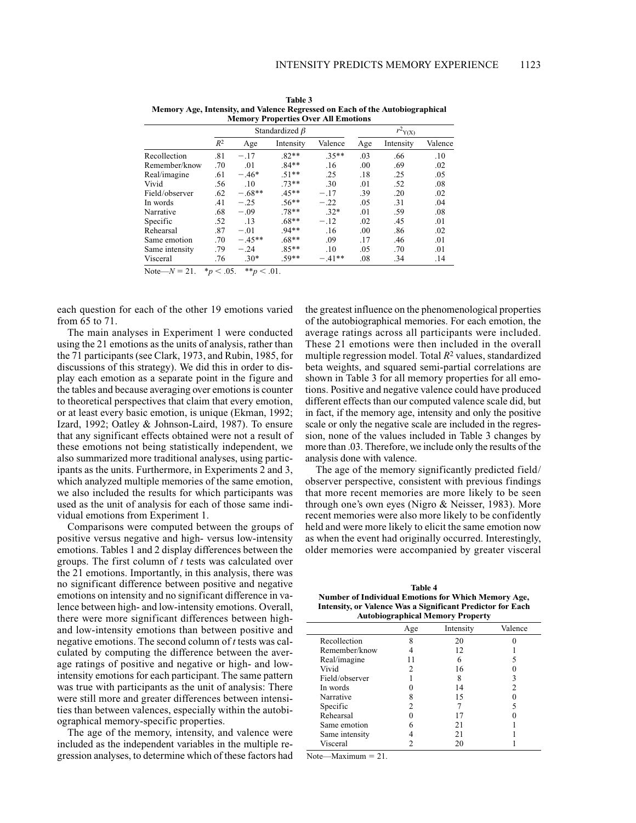|                | Standardized $\beta$ |          |           |          | $r^2$ <sub>Y</sub> ( <u>X)</u> |           |         |
|----------------|----------------------|----------|-----------|----------|--------------------------------|-----------|---------|
|                | R <sup>2</sup>       | Age      | Intensity | Valence  | Age                            | Intensity | Valence |
| Recollection   | .81                  | $-.17$   | $.82**$   | $.35**$  | .03                            | .66       | .10     |
| Remember/know  | .70                  | .01      | $.84**$   | .16      | .00.                           | .69       | .02     |
| Real/imagine   | .61                  | $-.46*$  | $.51**$   | .25      | .18                            | .25       | .05     |
| Vivid          | .56                  | .10      | $.73**$   | .30      | .01                            | .52       | .08     |
| Field/observer | .62                  | $-.68**$ | $.45**$   | $-.17$   | .39                            | .20       | .02     |
| In words       | .41                  | $-.25$   | $.56**$   | $-.22$   | .05                            | .31       | .04     |
| Narrative      | .68                  | $-.09$   | $.78**$   | $.32*$   | .01                            | .59       | .08     |
| Specific       | .52                  | .13      | $.68**$   | $-.12$   | .02                            | .45       | .01     |
| Rehearsal      | .87                  | $-.01$   | $.94**$   | .16      | .00.                           | .86       | .02     |
| Same emotion   | .70                  | $-.45**$ | $.68**$   | .09      | .17                            | .46       | .01     |
| Same intensity | .79                  | $-.24$   | $.85**$   | .10      | .05                            | .70       | .01     |
| Visceral       | .76                  | $.30*$   | $.59**$   | $-.41**$ | .08                            | .34       | .14     |

Table 3 Memory Age, Intensity, and Valence Regressed on Each of the Autobiographical **Memory Properties Over All Emotions** 

Note— $N = 21$ . \* $p < .05$ . \*\* $p < .01$ .

each question for each of the other 19 emotions varied from 65 to 71.

The main analyses in Experiment 1 were conducted using the 21 emotions as the units of analysis, rather than the 71 participants (see Clark, 1973, and Rubin, 1985, for discussions of this strategy). We did this in order to display each emotion as a separate point in the figure and the tables and because averaging over emotions is counter to theoretical perspectives that claim that every emotion, or at least every basic emotion, is unique (Ekman, 1992; Izard, 1992; Oatley & Johnson-Laird, 1987). To ensure that any significant effects obtained were not a result of these emotions not being statistically independent, we also summarized more traditional analyses, using participants as the units. Furthermore, in Experiments 2 and 3, which analyzed multiple memories of the same emotion, we also included the results for which participants was used as the unit of analysis for each of those same individual emotions from Experiment 1.

Comparisons were computed between the groups of positive versus negative and high-versus low-intensity emotions. Tables 1 and 2 display differences between the groups. The first column of  $t$  tests was calculated over the 21 emotions. Importantly, in this analysis, there was no significant difference between positive and negative emotions on intensity and no significant difference in va lence between high- and low-intensity emotions. Overall, there were more significant differences between highand low-intensity emotions than between positive and negative emotions. The second column of t tests was calculated by computing the difference between the average ratings of positive and negative or high- and lowintensity emotions for each participant. The same pattern was true with participants as the unit of analysis: There were still more and greater differences between intensities than between valences, especially within the autobiographical memory-specific properties.

The age of the memory, intensity, and valence were included as the independent variables in the multiple regression analyses, to determine which of these factors had the greatest influence on the phenomenological properties of the autobiographical memories. For each emotion, the average ratings across all participants were included. These 21 emotions were then included in the overall multiple regression model. Total  $R^2$  values, standardized beta weights, and squared semi-partial correlations are shown in Table 3 for all memory properties for all emotions. Positive and negative valence could have produced different effects than our computed valence scale did, but in fact, if the memory age, intensity and only the positive scale or only the negative scale are included in the regression, none of the values included in Table 3 changes by more than 0.03. Therefore, we include only the results of the analysis done with valence.

The age of the memory significantly predicted field/ observer perspective, consistent with previous findings that more recent memories are more likely to be seen through one's own eyes (Nigro & Neisser, 1983). More recent memories were also more likely to be confidently held and were more likely to elicit the same emotion now as when the event had originally occurred. Interestingly, older memories were accompanied by greater visceral

Table 4 Number of Individual Emotions for Which Memory Age, Intensity, or Valence Was a Significant Predictor for Each **Autobiographical Memory Property** 

|                | Age | Intensity | Valence |
|----------------|-----|-----------|---------|
| Recollection   |     | 20        |         |
| Remember/know  |     | 12        |         |
| Real/imagine   |     | 6         |         |
| Vivid          |     | 16        |         |
| Field/observer |     | 8         |         |
| In words       |     | 14        |         |
| Narrative      |     | 15        |         |
| Specific       |     |           |         |
| Rehearsal      |     |           |         |
| Same emotion   |     | 21        |         |
| Same intensity |     | 21        |         |
| Visceral       |     | 20        |         |
|                |     |           |         |

Note—Maximum  $= 21$ .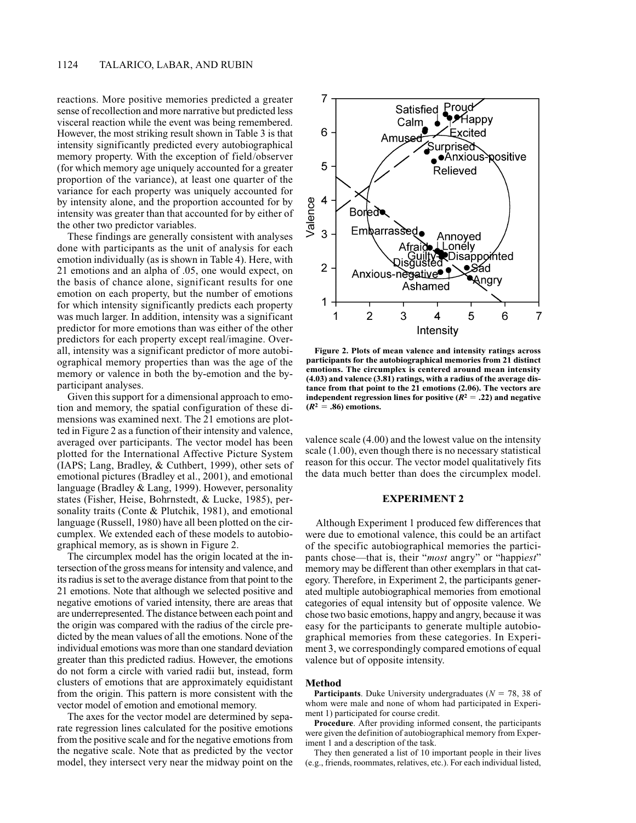reactions. More positive memories predicted a greater sense of recollection and more narrative but predicted less visceral reaction while the event was being remembered. However, the most striking result shown in Table 3 is that intensity significantly predicted every autobiographical memory property. With the exception of field/observer (for which memory age uniquely accounted for a greater proportion of the variance), at least one quarter of the variance for each property was uniquely accounted for by intensity alone, and the proportion accounted for by intensity was greater than that accounted for by either of the other two predictor variables.

These findings are generally consistent with analyses done with participants as the unit of analysis for each emotion individually (as is shown in Table 4). Here, with 21 emotions and an alpha of 0.05, one would expect, on the basis of chance alone, significant results for one emotion on each property, but the number of emotions for which intensity significantly predicts each property was much larger. In addition, intensity was a significant predictor for more emotions than was either of the other predictors for each property except real/imagine. Overall, intensity was a significant predictor of more autobiographical memory properties than was the age of the memory or valence in both the by-emotion and the byparticipant analyses.

Given this support for a dimensional approach to emotion and memory, the spatial configuration of these dimensions was examined next. The 21 emotions are plotted in Figure 2 as a function of their intensity and valence, averaged over participants. The vector model has been plotted for the International Affective Picture System (IAPS; Lang, Bradley, & Cuthbert, 1999), other sets of emotional pictures (Bradley et al., 2001), and emotional language (Bradley & Lang, 1999). However, personality states (Fisher, Heise, Bohrnstedt, & Lucke, 1985), personality traits (Conte & Plutchik, 1981), and emotional language (Russell, 1980) have all been plotted on the circumplex. We extended each of these models to autobiographical memory, as is shown in Figure 2.

The circumplex model has the origin located at the intersection of the gross means for intensity and valence, and its radius is set to the average distance from that point to the 21 emotions. Note that although we selected positive and negative emotions of varied intensity, there are areas that are underrepresented. The distance between each point and the origin was compared with the radius of the circle predicted by the mean values of all the emotions. None of the individual emotions was more than one standard deviation greater than this predicted radius. However, the emotions do not form a circle with varied radii but, instead, form clusters of emotions that are approximately equidistant from the origin. This pattern is more consistent with the vector model of emotion and emotional memory.

The axes for the vector model are determined by separate regression lines calculated for the positive emotions from the positive scale and for the negative emotions from the negative scale. Note that as predicted by the vector model, they intersect very near the midway point on the



Figure 2. Plots of mean valence and intensity ratings across participants for the autobiographical memories from 21 distinct emotions. The circumplex is centered around mean intensity (4.03) and valence (3.81) ratings, with a radius of the average distance from that point to the 21 emotions (2.06). The vectors are independent regression lines for positive ( $R^2 = .22$ ) and negative  $(R<sup>2</sup> = .86)$  emotions.

valence scale (4.00) and the lowest value on the intensity scale (1.00), even though there is no necessary statistical reason for this occur. The vector model qualitatively fits the data much better than does the circumplex model.

# **EXPERIMENT 2**

Although Experiment 1 produced few differences that were due to emotional valence, this could be an artifact of the specific autobiographical memories the participants chose—that is, their "*most* angry" or "happiest" memory may be different than other exemplars in that category. Therefore, in Experiment 2, the participants generated multiple autobiographical memories from emotional categories of equal intensity but of opposite valence. We chose two basic emotions, happy and angry, because it was easy for the participants to generate multiple autobiographical memories from these categories. In Experiment 3, we correspondingly compared emotions of equal valence but of opposite intensity.

#### **Method**

**Participants**. Duke University undergraduates ( $N = 78$ , 38 of whom were male and none of whom had participated in Experiment 1) participated for course credit.

Procedure. After providing informed consent, the participants were given the definition of autobiographical memory from Experiment 1 and a description of the task.

They then generated a list of 10 important people in their lives (e.g., friends, roommates, relatives, etc.). For each individual listed,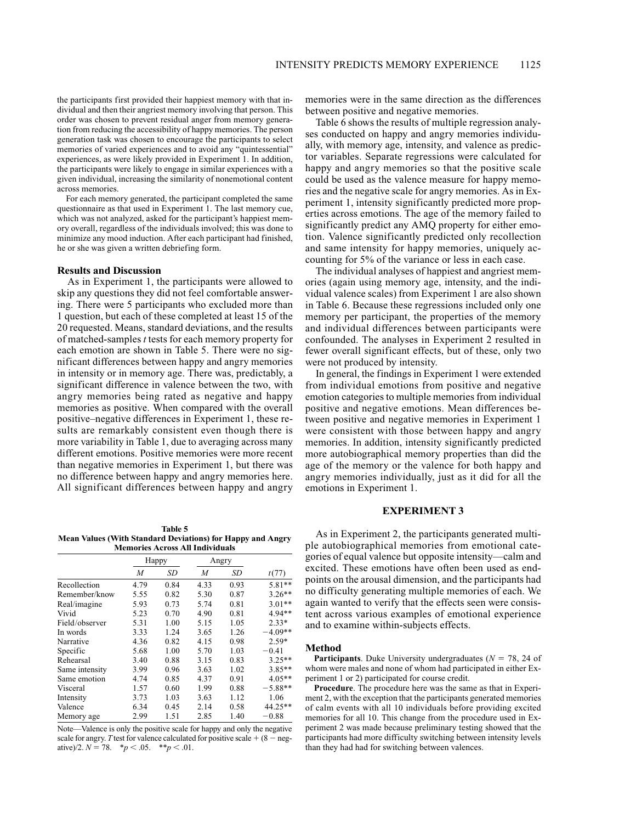the participants first provided their happiest memory with that individual and then their angriest memory involving that person. This order was chosen to prevent residual anger from memory generation from reducing the accessibility of happy memories. The person generation task was chosen to encourage the participants to select memories of varied experiences and to avoid any "quintessential" experiences, as were likely provided in Experiment 1. In addition, the participants were likely to engage in similar experiences with a given individual, increasing the similarity of nonemotional content across memories.

For each memory generated, the participant completed the same questionnaire as that used in Experiment 1. The last memory cue, which was not analyzed, asked for the participant's happiest memory overall, regardless of the individuals involved; this was done to minimize any mood induction. After each participant had finished, he or she was given a written debriefing form.

# **Results and Discussion**

As in Experiment 1, the participants were allowed to skip any questions they did not feel comfortable answering. There were 5 participants who excluded more than 1 question, but each of these completed at least 15 of the 20 requested. Means, standard deviations, and the results of matched-samples t tests for each memory property for each emotion are shown in Table 5. There were no significant differences between happy and angry memories in intensity or in memory age. There was, predictably, a significant difference in valence between the two, with angry memories being rated as negative and happy memories as positive. When compared with the overall positive–negative differences in Experiment 1, these results are remarkably consistent even though there is more variability in Table 1, due to averaging across many different emotions. Positive memories were more recent than negative memories in Experiment 1, but there was no difference between happy and angry memories here. All significant differences between happy and angry

Table 5 Mean Values (With Standard Deviations) for Happy and Angry **Memories Across All Individuals** 

|                | Happy |      |      | Angry |           |
|----------------|-------|------|------|-------|-----------|
|                | M     | SD   | M    | SD    | t(77)     |
| Recollection   | 4.79  | 0.84 | 4.33 | 0.93  | 5.81**    |
| Remember/know  | 5.55  | 0.82 | 5.30 | 0.87  | $3.26**$  |
| Real/imagine   | 5.93  | 0.73 | 5.74 | 0.81  | $3.01**$  |
| Vivid          | 5.23  | 0.70 | 4.90 | 0.81  | 4.94**    |
| Field/observer | 5.31  | 1.00 | 5.15 | 1.05  | $2.33*$   |
| In words       | 3.33  | 1.24 | 3.65 | 1.26  | $-4.09**$ |
| Narrative      | 4.36  | 0.82 | 4.15 | 0.98  | $2.59*$   |
| Specific       | 5.68  | 1.00 | 5.70 | 1.03  | $-0.41$   |
| Rehearsal      | 3.40  | 0.88 | 3.15 | 0.83  | $3.25**$  |
| Same intensity | 3.99  | 0.96 | 3.63 | 1.02  | $3.85**$  |
| Same emotion   | 4.74  | 0.85 | 4.37 | 0.91  | $4.05**$  |
| Visceral       | 1.57  | 0.60 | 1.99 | 0.88  | $-5.88**$ |
| Intensity      | 3.73  | 1.03 | 3.63 | 1.12  | 1.06      |
| Valence        | 6.34  | 0.45 | 2.14 | 0.58  | 44.25**   |
| Memory age     | 2.99  | 1.51 | 2.85 | 1.40  | $-0.88$   |

Note—Valence is only the positive scale for happy and only the negative scale for angry. T test for valence calculated for positive scale  $+ (8 - neg$ ative)/2.  $N = 78$ . \*  $p < .05$ . \* \*  $p < .01$ .

memories were in the same direction as the differences between positive and negative memories.

Table 6 shows the results of multiple regression analyses conducted on happy and angry memories individually, with memory age, intensity, and valence as predictor variables. Separate regressions were calculated for happy and angry memories so that the positive scale could be used as the valence measure for happy memories and the negative scale for angry memories. As in Experiment 1, intensity significantly predicted more properties across emotions. The age of the memory failed to significantly predict any AMQ property for either emotion. Valence significantly predicted only recollection and same intensity for happy memories, uniquely accounting for 5% of the variance or less in each case.

The individual analyses of happiest and angriest memories (again using memory age, intensity, and the individual valence scales) from Experiment 1 are also shown in Table 6. Because these regressions included only one memory per participant, the properties of the memory and individual differences between participants were confounded. The analyses in Experiment 2 resulted in fewer overall significant effects, but of these, only two were not produced by intensity.

In general, the findings in Experiment 1 were extended from individual emotions from positive and negative emotion categories to multiple memories from individual positive and negative emotions. Mean differences between positive and negative memories in Experiment 1 were consistent with those between happy and angry memories. In addition, intensity significantly predicted more autobiographical memory properties than did the age of the memory or the valence for both happy and angry memories individually, just as it did for all the emotions in Experiment 1.

# **EXPERIMENT 3**

As in Experiment 2, the participants generated multiple autobiographical memories from emotional categories of equal valence but opposite intensity—calm and excited. These emotions have often been used as endpoints on the arousal dimension, and the participants had no difficulty generating multiple memories of each. We again wanted to verify that the effects seen were consistent across various examples of emotional experience and to examine within-subjects effects.

#### **Method**

**Participants.** Duke University undergraduates ( $N = 78$ , 24 of whom were males and none of whom had participated in either Experiment 1 or 2) participated for course credit.

**Procedure**. The procedure here was the same as that in Experiment 2, with the exception that the participants generated memories of calm events with all 10 individuals before providing excited memories for all 10. This change from the procedure used in Experiment 2 was made because preliminary testing showed that the participants had more difficulty switching between intensity levels than they had had for switching between valences.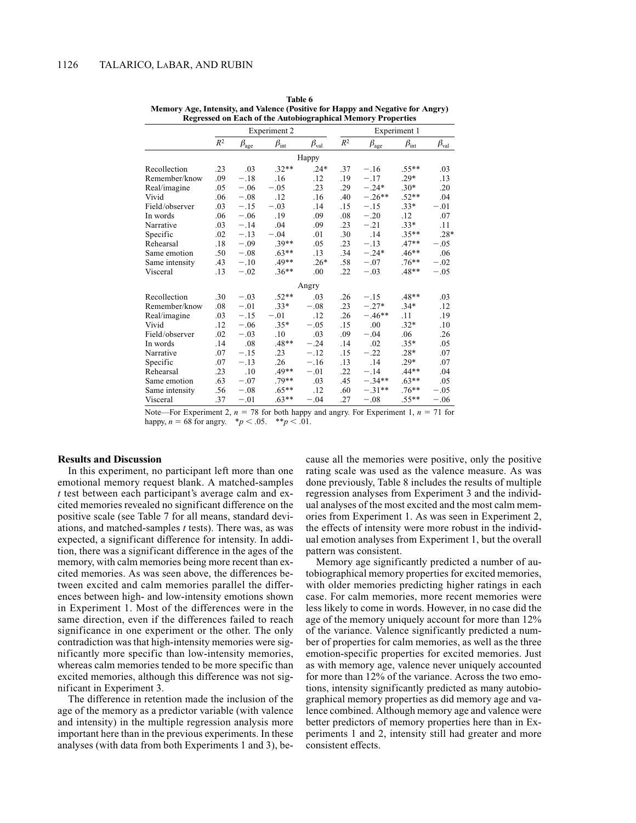|                |       |                   | Experiment 2      |                      | Experiment 1 |                   |                   |                      |  |
|----------------|-------|-------------------|-------------------|----------------------|--------------|-------------------|-------------------|----------------------|--|
|                | $R^2$ | $\beta_{\rm age}$ | $\beta_{\rm int}$ | $\beta_{\text{val}}$ | $R^2$        | $\beta_{\rm age}$ | $\beta_{\rm int}$ | $\beta_{\text{val}}$ |  |
|                |       |                   |                   | Happy                |              |                   |                   |                      |  |
| Recollection   | .23   | .03               | $.32**$           | $.24*$               | .37          | $-.16$            | $.55**$           | .03                  |  |
| Remember/know  | .09   | $-.18$            | .16               | .12                  | .19          | $-.17$            | $.29*$            | .13                  |  |
| Real/imagine   | .05   | $-.06$            | $-.05$            | .23                  | .29          | $-.24*$           | $.30*$            | .20                  |  |
| Vivid          | .06   | $-.08$            | .12               | .16                  | .40          | $-.26**$          | $.52**$           | .04                  |  |
| Field/observer | .03   | $-.15$            | $-.03$            | .14                  | .15          | $-.15$            | $.33*$            | $-.01$               |  |
| In words       | .06   | $-.06$            | .19               | .09                  | .08          | $-.20$            | .12               | .07                  |  |
| Narrative      | .03   | $-.14$            | .04               | .09                  | .23          | $-.21$            | $.33*$            | .11                  |  |
| Specific       | .02   | $-.13$            | $-.04$            | .01                  | .30          | .14               | $.35**$           | $.28*$               |  |
| Rehearsal      | .18   | $-.09$            | $.39**$           | .05                  | .23          | $-.13$            | $.47**$           | $-.05$               |  |
| Same emotion   | .50   | $-.08$            | $.63**$           | .13                  | .34          | $-.24*$           | $.46**$           | .06                  |  |
| Same intensity | .43   | $-.10$            | .49**             | $.26*$               | .58          | $-.07$            | $.76**$           | $-.02$               |  |
| Visceral       | .13   | $-.02$            | $.36**$           | .00                  | .22          | $-.03$            | $.48**$           | $-.05$               |  |
|                |       |                   |                   | Angry                |              |                   |                   |                      |  |
| Recollection   | .30   | $-.03$            | $.52**$           | .03                  | .26          | $-.15$            | $.48**$           | .03                  |  |
| Remember/know  | .08   | $-.01$            | $.33*$            | $-.08$               | .23          | $-.27*$           | $.34*$            | .12                  |  |
| Real/imagine   | .03   | $-.15$            | $-.01$            | .12                  | .26          | $-.46**$          | .11               | .19                  |  |
| Vivid          | .12   | $-.06$            | $.35*$            | $-.05$               | .15          | .00               | $.32*$            | .10                  |  |
| Field/observer | .02   | $-.03$            | .10               | .03                  | .09          | $-.04$            | .06               | .26                  |  |
| In words       | .14   | .08               | $.48**$           | $-.24$               | .14          | .02               | $.35*$            | .05                  |  |
| Narrative      | .07   | $-.15$            | .23               | $-.12$               | .15          | $-.22$            | $.28*$            | .07                  |  |
| Specific       | .07   | $-.13$            | .26               | $-.16$               | .13          | .14               | $.29*$            | .07                  |  |
| Rehearsal      | .23   | .10               | $.49**$           | $-.01$               | .22          | $-.14$            | $.44**$           | .04                  |  |
| Same emotion   | .63   | $-.07$            | $.79**$           | .03                  | .45          | $-.34**$          | $.63**$           | .05                  |  |
| Same intensity | .56   | $-.08$            | $.65**$           | .12                  | .60          | $-.31**$          | $.76**$           | $-.05$               |  |
| Visceral       | .37   | $-.01$            | $.63**$           | $-.04$               | .27          | $-.08$            | $.55**$           | $-.06$               |  |
|                |       |                   |                   |                      |              |                   |                   |                      |  |

Table 6 Memory Age, Intensity, and Valence (Positive for Happy and Negative for Angry) Regressed on Each of the Autobiographical Memory Properties

Note—For Experiment 2,  $n = 78$  for both happy and angry. For Experiment 1,  $n = 71$  for happy,  $n = 68$  for angry.  $* p < .05$ .  $* p < .01$ .

# **Results and Discussion**

In this experiment, no participant left more than one emotional memory request blank. A matched-samples *t* test between each participant's average calm and excited memories revealed no significant difference on the positive scale (see Table 7 for all means, standard deviations, and matched-samples  $t$  tests). There was, as was expected, a significant difference for intensity. In addition, there was a significant difference in the ages of the memory, with calm memories being more recent than excited memories. As was seen above, the differences between excited and calm memories parallel the differences between high- and low-intensity emotions shown in Experiment 1. Most of the differences were in the same direction, even if the differences failed to reach significance in one experiment or the other. The only contradiction was that high-intensity memories were significantly more specific than low-intensity memories, whereas calm memories tended to be more specific than excited memories, although this difference was not significant in Experiment 3.

The difference in retention made the inclusion of the age of the memory as a predictor variable (with valence and intensity) in the multiple regression analysis more important here than in the previous experiments. In these analyses (with data from both Experiments 1 and 3), because all the memories were positive, only the positive rating scale was used as the valence measure. As was done previously, Table 8 includes the results of multiple regression analyses from Experiment 3 and the individual analyses of the most excited and the most calm memories from Experiment 1. As was seen in Experiment 2, the effects of intensity were more robust in the individual emotion analyses from Experiment 1, but the overall pattern was consistent.

Memory age significantly predicted a number of autobiographical memory properties for excited memories, with older memories predicting higher ratings in each case. For calm memories, more recent memories were less likely to come in words. However, in no case did the age of the memory uniquely account for more than 12% of the variance. Valence significantly predicted a number of properties for calm memories, as well as the three emotion-specific properties for excited memories. Just as with memory age, valence never uniquely accounted for more than 12% of the variance. Across the two emotions, intensity significantly predicted as many autobiographical memory properties as did memory age and valence combined. Although memory age and valence were better predictors of memory properties here than in Experiments 1 and 2, intensity still had greater and more consistent effects.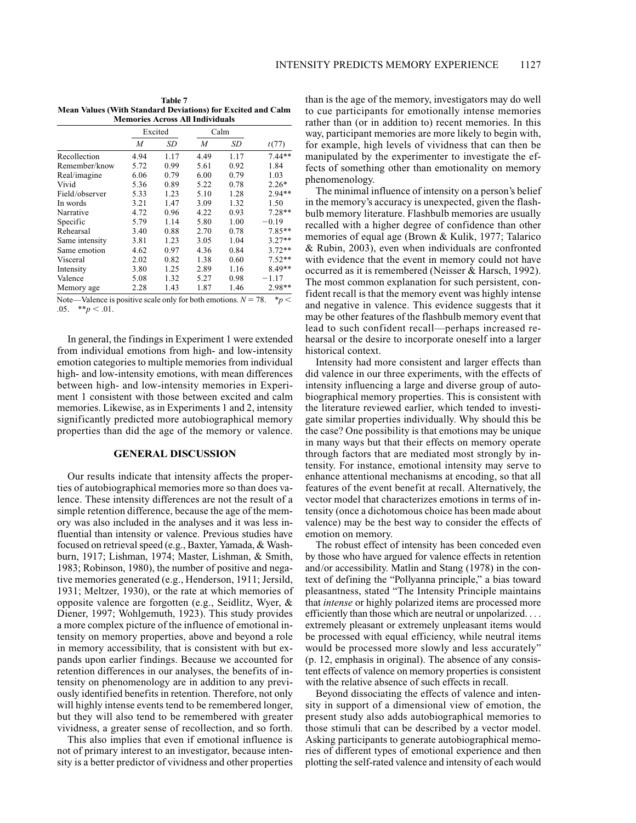Table 7 **Mean Values (With Standard Deviations) for Excited and Calm Memories Across All Individuals** 

|                | Excited |      |      | Calm |          |  |
|----------------|---------|------|------|------|----------|--|
|                | M       | SD   | M    | SD   | t(77)    |  |
| Recollection   | 4.94    | 1.17 | 4.49 | 1.17 | $7.44**$ |  |
| Remember/know  | 5.72    | 0.99 | 5.61 | 0.92 | 1.84     |  |
| Real/imagine   | 6.06    | 0.79 | 6.00 | 0.79 | 1.03     |  |
| Vivid          | 5.36    | 0.89 | 5.22 | 0.78 | $2.26*$  |  |
| Field/observer | 5.33    | 1.23 | 5.10 | 1.28 | 2.94**   |  |
| In words       | 3.21    | 1.47 | 3.09 | 1.32 | 1.50     |  |
| Narrative      | 4.72    | 0.96 | 4.22 | 0.93 | $7.28**$ |  |
| Specific       | 5.79    | 1.14 | 5.80 | 1.00 | $-0.19$  |  |
| Rehearsal      | 3.40    | 0.88 | 2.70 | 0.78 | $7.85**$ |  |
| Same intensity | 3.81    | 1.23 | 3.05 | 1.04 | $3.27**$ |  |
| Same emotion   | 4.62    | 0.97 | 4.36 | 0.84 | $3.72**$ |  |
| Visceral       | 2.02    | 0.82 | 1.38 | 0.60 | $7.52**$ |  |
| Intensity      | 3.80    | 1.25 | 2.89 | 1.16 | 8.49**   |  |
| Valence        | 5.08    | 1.32 | 5.27 | 0.98 | $-1.17$  |  |
| Memory age     | 2.28    | 1.43 | 1.87 | 1.46 | 2.98**   |  |

Note—Valence is positive scale only for both emotions.  $N = 78$ . \*  $p <$ .05. \*\*  $p < .01$ .

In general, the findings in Experiment 1 were extended from individual emotions from high- and low-intensity emotion categories to multiple memories from individual high- and low-intensity emotions, with mean differences between high- and low-intensity memories in Experiment 1 consistent with those between excited and calm memories. Likewise, as in Experiments 1 and 2, intensity significantly predicted more autobiographical memory properties than did the age of the memory or valence.

# **GENERAL DISCUSSION**

Our results indicate that intensity affects the properties of autobiographical memories more so than does va lence. These intensity differences are not the result of a simple retention difference, because the age of the memory was also included in the analyses and it was less influential than intensity or valence. Previous studies have focused on retrieval speed (e.g., Baxter, Yamada, & Washburn, 1917; Lishman, 1974; Master, Lishman, & Smith, 1983; Robinson, 1980), the number of positive and negative memories generated (e.g., Henderson, 1911; Jersild, 1931; Meltzer, 1930), or the rate at which memories of opposite valence are forgotten (e.g., Seidlitz, Wyer, & Diener, 1997; Wohlgemuth, 1923). This study provides a more complex picture of the influence of emotional intensity on memory properties, above and beyond a role in memory accessibility, that is consistent with but expands upon earlier findings. Because we accounted for retention differences in our analyses, the benefits of intensity on phenomenology are in addition to any previously identified benefits in retention. Therefore, not only will highly intense events tend to be remembered longer, but they will also tend to be remembered with greater vividness, a greater sense of recollection, and so forth.

This also implies that even if emotional influence is not of primary interest to an investigator, because intensity is a better predictor of vividness and other properties

than is the age of the memory, investigators may do well to cue participants for emotionally intense memories rather than (or in addition to) recent memories. In this way, participant memories are more likely to begin with, for example, high levels of vividness that can then be manipulated by the experimenter to investigate the effects of something other than emotionality on memory phenomenology.

The minimal influence of intensity on a person's belief in the memory's accuracy is unexpected, given the flashbulb memory literature. Flashbulb memories are usually recalled with a higher degree of confidence than other memories of equal age (Brown & Kulik, 1977; Talarico & Rubin, 2003), even when individuals are confronted with evidence that the event in memory could not have occurred as it is remembered (Neisser & Harsch, 1992). The most common explanation for such persistent, confident recall is that the memory event was highly intense and negative in valence. This evidence suggests that it may be other features of the flashbulb memory event that lead to such confident recall—perhaps increased rehearsal or the desire to incorporate oneself into a larger historical context.

Intensity had more consistent and larger effects than did valence in our three experiments, with the effects of intensity influencing a large and diverse group of autobiographical memory properties. This is consistent with the literature reviewed earlier, which tended to investigate similar properties individually. Why should this be the case? One possibility is that emotions may be unique in many ways but that their effects on memory operate through factors that are mediated most strongly by intensity. For instance, emotional intensity may serve to enhance attentional mechanisms at encoding, so that all features of the event benefit at recall. Alternatively, the vector model that characterizes emotions in terms of intensity (once a dichotomous choice has been made about valence) may be the best way to consider the effects of emotion on memory.

The robust effect of intensity has been conceded even by those who have argued for valence effects in retention and/or accessibility. Matlin and Stang (1978) in the context of defining the "Pollyanna principle," a bias toward pleasantness, stated "The Intensity Principle maintains that *intense* or highly polarized items are processed more efficiently than those which are neutral or unpolarized... extremely pleasant or extremely unpleasant items would be processed with equal efficiency, while neutral items would be processed more slowly and less accurately" (p. 12, emphasis in original). The absence of any consistent effects of valence on memory properties is consistent with the relative absence of such effects in recall.

Beyond dissociating the effects of valence and intensity in support of a dimensional view of emotion, the present study also adds autobiographical memories to those stimuli that can be described by a vector model. Asking participants to generate autobiographical memories of different types of emotional experience and then plotting the self-rated valence and intensity of each would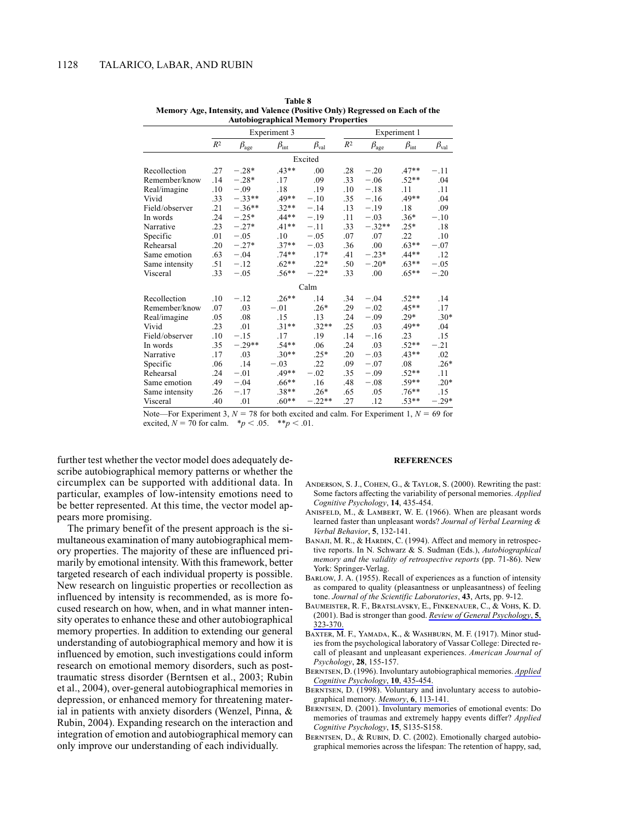|                | Experiment 3   |                   |                   |                      | Experiment 1   |                   |                   |                      |
|----------------|----------------|-------------------|-------------------|----------------------|----------------|-------------------|-------------------|----------------------|
|                | R <sup>2</sup> | $\beta_{\rm age}$ | $\beta_{\rm int}$ | $\beta_{\text{val}}$ | R <sup>2</sup> | $\beta_{\rm age}$ | $\beta_{\rm int}$ | $\beta_{\text{val}}$ |
|                |                |                   |                   | Excited              |                |                   |                   |                      |
| Recollection   | .27            | $-.28*$           | $.43**$           | .00                  | .28            | $-.20$            | $.47**$           | $-.11$               |
| Remember/know  | .14            | $-.28*$           | .17               | .09                  | .33            | $-.06$            | $.52**$           | .04                  |
| Real/imagine   | .10            | $-.09$            | .18               | .19                  | .10            | $-.18$            | .11               | .11                  |
| Vivid          | .33            | $-.33**$          | $.49**$           | $-.10$               | .35            | $-.16$            | .49**             | .04                  |
| Field/observer | .21            | $-.36**$          | $.32**$           | $-.14$               | .13            | $-.19$            | .18               | .09                  |
| In words       | .24            | $-.25*$           | $.44**$           | $-.19$               | .11            | $-.03$            | $.36*$            | $-.10$               |
| Narrative      | .23            | $-.27*$           | $.41**$           | $-.11$               | .33            | $-.32**$          | $.25*$            | .18                  |
| Specific       | .01            | $-.05$            | .10               | $-.05$               | .07            | .07               | .22               | .10                  |
| Rehearsal      | .20            | $-.27*$           | $.37**$           | $-.03$               | .36            | .00.              | $.63**$           | $-.07$               |
| Same emotion   | .63            | $-.04$            | $.74**$           | $.17*$               | .41            | $-.23*$           | $.44**$           | .12                  |
| Same intensity | .51            | $-.12$            | $.62**$           | $.22*$               | .50            | $-.20*$           | $.63**$           | $-.05$               |
| Visceral       | .33            | $-.05$            | $.56**$           | $-.22*$              | .33            | .00.              | $.65**$           | $-.20$               |
|                |                |                   |                   | Calm                 |                |                   |                   |                      |
| Recollection   | .10            | $-.12$            | $.26**$           | .14                  | .34            | $-.04$            | $.52**$           | .14                  |
| Remember/know  | .07            | .03               | $-.01$            | $.26*$               | .29            | $-.02$            | $.45**$           | .17                  |
| Real/imagine   | .05            | .08               | .15               | .13                  | .24            | $-.09$            | $.29*$            | $.30*$               |
| Vivid          | .23            | .01               | $.31**$           | $.32**$              | .25            | .03               | .49**             | .04                  |
| Field/observer | .10            | $-.15$            | .17               | .19                  | .14            | $-.16$            | .23               | .15                  |
| In words       | .35            | $-.29**$          | $.54**$           | .06                  | .24            | .03               | $.52**$           | $-.21$               |
| Narrative      | .17            | .03               | $.30**$           | $.25*$               | .20            | $-.03$            | $.43**$           | .02                  |
| Specific       | .06            | .14               | $-.03$            | .22                  | .09            | $-.07$            | .08               | $.26*$               |
| Rehearsal      | .24            | $-.01$            | $.49**$           | $-.02$               | .35            | $-.09$            | $.52**$           | .11                  |
| Same emotion   | .49            | $-.04$            | $.66**$           | .16                  | .48            | $-.08$            | $.59**$           | $.20*$               |
| Same intensity | .26            | $-.17$            | $.38**$           | $.26*$               | .65            | .05               | $.76**$           | .15                  |
| Visceral       | .40            | .01               | $.60**$           | $-.22**$             | .27            | .12               | $.53**$           | $-.29*$              |

**Table 8** Memory Age, Intensity, and Valence (Positive Only) Regressed on Each of the **Autobiographical Memory Properties** 

Note—For Experiment 3,  $N = 78$  for both excited and calm. For Experiment 1,  $N = 69$  for excited,  $N = 70$  for calm.  $\ast p < .05$ .  $\ast \ast p < .01$ .

further test whether the vector model does adequately describe autobiographical memory patterns or whether the circumplex can be supported with additional data. In particular, examples of low-intensity emotions need to be better represented. At this time, the vector model appears more promising.

The primary benefit of the present approach is the simultaneous examination of many autobiographical memory properties. The majority of these are influenced primarily by emotional intensity. With this framework, better targeted research of each individual property is possible. New research on linguistic properties or recollection as influenced by intensity is recommended, as is more focused research on how, when, and in what manner intensity operates to enhance these and other autobiographical memory properties. In addition to extending our general understanding of autobiographical memory and how it is influenced by emotion, such investigations could inform research on emotional memory disorders, such as posttraumatic stress disorder (Berntsen et al., 2003; Rubin et al., 2004), over-general autobiographical memories in depression, or enhanced memory for threatening material in patients with anxiety disorders (Wenzel, Pinna, & Rubin, 2004). Expanding research on the interaction and integration of emotion and autobiographical memory can only improve our understanding of each individually.

## **REFERENCES**

- ANDERSON, S. J., COHEN, G., & TAYLOR, S. (2000). Rewriting the past: Some factors affecting the variability of personal memories. Applied Cognitive Psychology, 14, 435-454.
- ANISFELD, M., & LAMBERT, W. E. (1966). When are pleasant words learned faster than unpleasant words? Journal of Verbal Learning & Verbal Behavior, 5, 132-141.
- BANAJI, M. R., & HARDIN, C. (1994). Affect and memory in retrospective reports. In N. Schwarz & S. Sudman (Eds.), Autobiographical memory and the validity of retrospective reports (pp. 71-86). New York: Springer-Verlag.
- BARLOW, J. A. (1955). Recall of experiences as a function of intensity as compared to quality (pleasantness or unpleasantness) of feeling tone. Journal of the Scientific Laboratories, 43, Arts, pp. 9-12.
- BAUMEISTER, R. F., BRATSLAVSKY, E., FINKENAUER, C., & VOHS, K. D. (2001). Bad is stronger than good. Review of General Psychology, 5, 323-370
- BAXTER, M. F., YAMADA, K., & WASHBURN, M. F. (1917). Minor studies from the psychological laboratory of Vassar College: Directed recall of pleasant and unpleasant experiences. American Journal of Psychology, 28, 155-157.
- BERNTSEN, D. (1996). Involuntary autobiographical memories. Applied Cognitive Psychology, 10, 435-454.
- BERNTSEN, D. (1998). Voluntary and involuntary access to autobiographical memory. Memory, 6, 113-141.
- BERNTSEN, D. (2001). Involuntary memories of emotional events: Do memories of traumas and extremely happy events differ? Applied Cognitive Psychology, 15, S135-S158.
- BERNTSEN, D., & RUBIN, D. C. (2002). Emotionally charged autobiographical memories across the lifespan: The retention of happy, sad,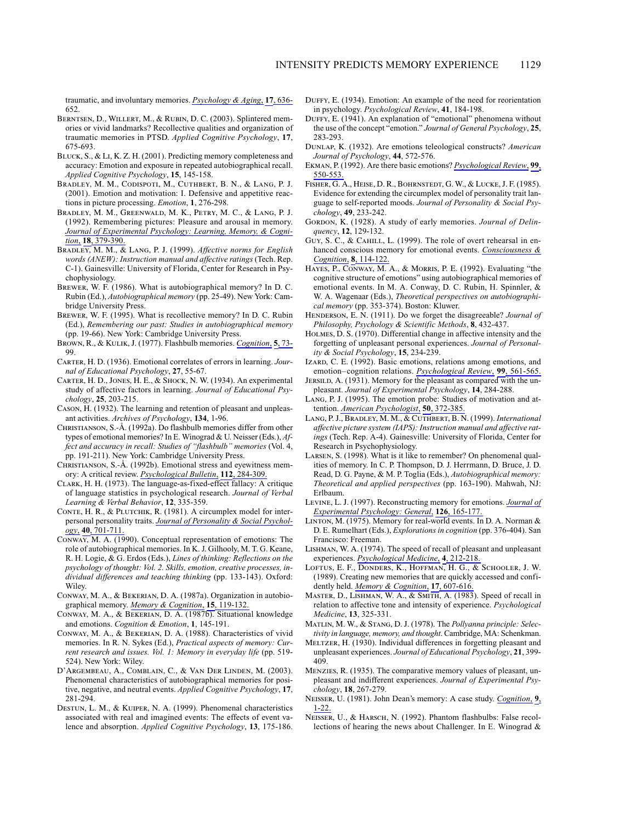traumatic, and involuntary memories. Psychology & Aging, 17, 636-652.

- BERNTSEN, D., WILLERT, M., & RUBIN, D. C. (2003). Splintered memories or vivid landmarks? Recollective qualities and organization of traumatic memories in PTSD. Applied Cognitive Psychology, 17, 675-693
- BLUCK, S., & LI, K. Z. H. (2001). Predicting memory completeness and accuracy: Emotion and exposure in repeated autobiographical recall. Applied Cognitive Psychology, 15, 145-158.
- BRADLEY, M. M., CODISPOTI, M., CUTHBERT, B. N., & LANG, P. J. (2001). Emotion and motivation: I. Defensive and appetitive reactions in picture processing. *Emotion*, 1, 276-298.
- BRADLEY, M. M., GREENWALD, M. K., PETRY, M. C., & LANG, P. J. (1992). Remembering pictures: Pleasure and arousal in memory. Journal of Experimental Psychology: Learning, Memory, & Cognition, 18, 379-390.
- BRADLEY, M. M., & LANG, P. J. (1999). Affective norms for English words (ANEW): Instruction manual and affective ratings (Tech. Rep. C-1). Gainesville: University of Florida, Center for Research in Psychophysiology.
- BREWER, W. F. (1986). What is autobiographical memory? In D. C. Rubin (Ed.), Autobiographical memory (pp. 25-49). New York: Cambridge University Press.
- BREWER, W. F. (1995). What is recollective memory? In D. C. Rubin (Ed.), Remembering our past: Studies in autobiographical memory (pp. 19-66). New York: Cambridge University Press.
- BROWN, R., & KULIK, J. (1977). Flashbulb memories. Cognition, 5, 73-99.
- CARTER, H. D. (1936). Emotional correlates of errors in learning. Journal of Educational Psychology, 27, 55-67.
- CARTER, H. D., JONES, H. E., & SHOCK, N. W. (1934). An experimental study of affective factors in learning. Journal of Educational Psychology, 25, 203-215.
- CASON, H. (1932). The learning and retention of pleasant and unpleasant activities. Archives of Psychology, 134, 1-96.
- CHRISTIANSON, S.-Å. (1992a). Do flashbulb memories differ from other types of emotional memories? In E. Winograd & U. Neisser (Eds.), Affect and accuracy in recall: Studies of "flashbulb" memories (Vol. 4, pp. 191-211). New York: Cambridge University Press.
- CHRISTIANSON, S.-Å. (1992b). Emotional stress and eyewitness memory: A critical review. Psychological Bulletin, 112, 284-309.
- CLARK, H. H. (1973). The language-as-fixed-effect fallacy: A critique of language statistics in psychological research. Journal of Verbal Learning & Verbal Behavior, 12, 335-359.
- CONTE, H. R., & PLUTCHIK, R. (1981). A circumplex model for interpersonal personality traits. Journal of Personality & Social Psychology, 40, 701-711.
- $ConvAY$ , M. A. (1990). Conceptual representation of emotions: The role of autobiographical memories. In K. J. Gilhooly, M. T. G. Keane, R. H. Logie, & G. Erdos (Eds.), Lines of thinking: Reflections on the psychology of thought: Vol. 2. Skills, emotion, creative processes, individual differences and teaching thinking (pp. 133-143). Oxford: Wilev.
- CONWAY, M. A., & BEKERIAN, D. A. (1987a). Organization in autobiographical memory. Memory & Cognition, 15, 119-132.
- CONWAY, M. A., & BEKERIAN, D. A. (1987b). Situational knowledge and emotions. Cognition & Emotion, 1, 145-191.
- CONWAY, M. A., & BEKERIAN, D. A. (1988). Characteristics of vivid memories. In R. N. Sykes (Ed.), Practical aspects of memory: Current research and issues. Vol. 1: Memory in everyday life (pp. 519-524). New York: Wiley.
- D'ARGEMBEAU, A., COMBLAIN, C., & VAN DER LINDEN, M. (2003). Phenomenal characteristics of autobiographical memories for positive, negative, and neutral events. Applied Cognitive Psychology, 17, 281-294
- DESTUN, L. M., & KUIPER, N. A. (1999). Phenomenal characteristics associated with real and imagined events: The effects of event valence and absorption. Applied Cognitive Psychology, 13, 175-186.
- DUFFY, E. (1934). Emotion: An example of the need for reorientation in psychology. Psychological Review, 41, 184-198.
- DUFFY, E. (1941). An explanation of "emotional" phenomena without the use of the concept "emotion." Journal of General Psychology, 25, 283-293.
- DUNLAP, K. (1932). Are emotions teleological constructs? American Journal of Psychology, 44, 572-576.
- EKMAN, P. (1992). Are there basic emotions? Psychological Review, 99, 550-553.
- FISHER, G. A., HEISE, D. R., BOHRNSTEDT, G. W., & LUCKE, J. F. (1985). Evidence for extending the circumplex model of personality trait language to self-reported moods. Journal of Personality & Social Psychology, 49, 233-242.
- GORDON, K. (1928). A study of early memories. Journal of Delinquency, 12, 129-132.
- GUY, S. C., & CAHILL, L. (1999). The role of overt rehearsal in enhanced conscious memory for emotional events. Consciousness & Cognition, 8, 114-122.
- HAYES, P., CONWAY, M. A., & MORRIS, P. E. (1992). Evaluating "the cognitive structure of emotions" using autobiographical memories of emotional events. In M. A. Conway, D. C. Rubin, H. Spinnler, & W. A. Wagenaar (Eds.), Theoretical perspectives on autobiographical memory (pp. 353-374). Boston: Kluwer.
- HENDERSON, E. N. (1911). Do we forget the disagreeable? Journal of Philosophy, Psychology & Scientific Methods, 8, 432-437.
- HOLMES, D. S. (1970). Differential change in affective intensity and the forgetting of unpleasant personal experiences. Journal of Personality & Social Psychology, 15, 234-239.
- IZARD, C. E. (1992). Basic emotions, relations among emotions, and emotion–cognition relations. *Psychological Review*, 99, 561-565.
- JERSILD, A. (1931). Memory for the pleasant as compared with the unpleasant. Journal of Experimental Psychology, 14, 284-288.
- LANG, P. J. (1995). The emotion probe: Studies of motivation and attention. American Psychologist, 50, 372-385.
- LANG, P. J., BRADLEY, M. M., & CUTHBERT, B. N. (1999). International affective picture system (IAPS): Instruction manual and affective ratings (Tech. Rep. A-4). Gainesville: University of Florida, Center for Research in Psychophysiology.
- LARSEN, S. (1998). What is it like to remember? On phenomenal qualities of memory. In C. P. Thompson, D. J. Herrmann, D. Bruce, J. D. Read, D. G. Payne, & M. P. Toglia (Eds.), Autobiographical memory: Theoretical and applied perspectives (pp. 163-190). Mahwah, NJ: Erlbaum.
- LEVINE, L. J. (1997). Reconstructing memory for emotions. Journal of Experimental Psychology: General, 126, 165-177.
- LINTON, M. (1975). Memory for real-world events. In D. A. Norman & D. E. Rumelhart (Eds.), Explorations in cognition (pp. 376-404). San Francisco: Freeman.
- LISHMAN, W. A. (1974). The speed of recall of pleasant and unpleasant experiences. Psychological Medicine, 4, 212-218.
- LOFTUS, E. F., DONDERS, K., HOFFMAN, H. G., & SCHOOLER, J. W. (1989). Creating new memories that are quickly accessed and confidently held. Memory & Cognition, 17, 607-616.
- MASTER, D., LISHMAN, W. A., & SMITH, A. (1983). Speed of recall in relation to affective tone and intensity of experience. Psychological Medicine, 13, 325-331.
- MATLIN, M. W., & STANG, D. J. (1978). The Pollyanna principle: Selectivity in language, memory, and thought. Cambridge, MA: Schenkman.
- MELTZER, H. (1930). Individual differences in forgetting pleasant and unpleasant experiences. Journal of Educational Psychology, 21, 399-409.
- MENZIES, R. (1935). The comparative memory values of pleasant, unpleasant and indifferent experiences. Journal of Experimental Psychology, 18, 267-279.
- NEISSER, U. (1981). John Dean's memory: A case study. Cognition, 9,  $1 - 22$ .
- NEISSER, U., & HARSCH, N. (1992). Phantom flashbulbs: False recollections of hearing the news about Challenger. In E. Winograd &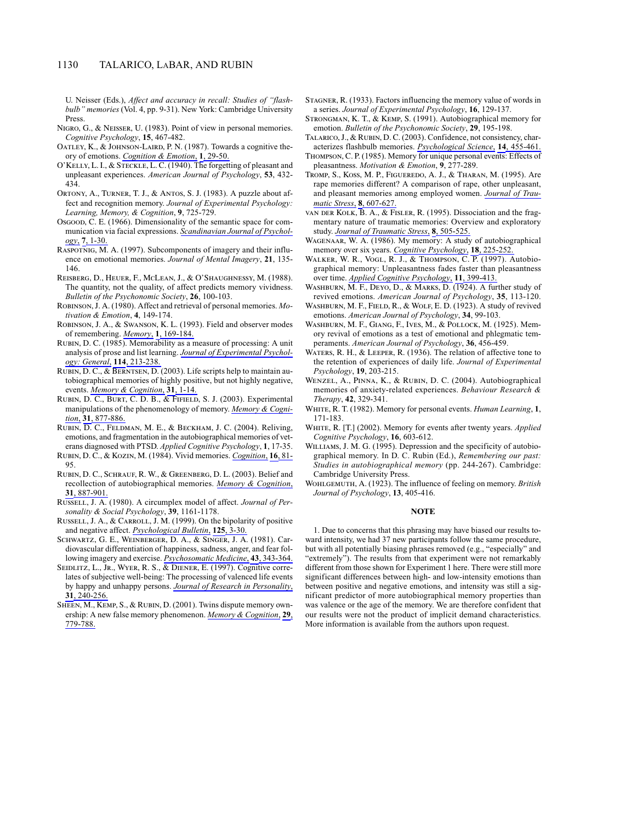U. Neisser (Eds.), Affect and accuracy in recall: Studies of "flashbulb" memories (Vol. 4, pp. 9-31). New York: Cambridge University Press.

- NIGRO, G., & NEISSER, U. (1983). Point of view in personal memories. Cognitive Psychology, 15, 467-482.
- OATLEY, K., & JOHNSON-LAIRD, P. N. (1987). Towards a cognitive theory of emotions. Cognition & Emotion, 1, 29-50.
- O'KELLY, L. I., & STECKLE, L. C. (1940). The forgetting of pleasant and unpleasant experiences. American Journal of Psychology, 53, 432-434.
- ORTONY, A., TURNER, T. J., & ANTOS, S. J. (1983). A puzzle about affect and recognition memory. Journal of Experimental Psychology: Learning, Memory, & Cognition, 9, 725-729.
- Osgoop, C. E. (1966). Dimensionality of the semantic space for communication via facial expressions. Scandinavian Journal of Psychology, 7, 1-30.
- RASPOTNIG, M. A. (1997). Subcomponents of imagery and their influence on emotional memories. Journal of Mental Imagery, 21, 135-146.
- REISBERG, D., HEUER, F., MCLEAN, J., & O'SHAUGHNESSY, M. (1988). The quantity, not the quality, of affect predicts memory vividness. Bulletin of the Psychonomic Society, 26, 100-103.
- ROBINSON, J. A. (1980). Affect and retrieval of personal memories. Motivation & Emotion, 4, 149-174.
- ROBINSON, J. A., & SWANSON, K. L. (1993). Field and observer modes of remembering. Memory, 1, 169-184.
- RUBIN, D. C. (1985). Memorability as a measure of processing: A unit analysis of prose and list learning. Journal of Experimental Psychology: General, 114, 213-238.
- RUBIN, D. C., & BERNTSEN, D. (2003). Life scripts help to maintain autobiographical memories of highly positive, but not highly negative, events. Memory & Cognition, 31, 1-14.
- RUBIN, D. C., BURT, C. D. B., & FIFIELD, S. J. (2003). Experimental manipulations of the phenomenology of memory. Memory & Cognition, 31, 877-886.
- RUBIN, D. C., FELDMAN, M. E., & BECKHAM, J. C. (2004). Reliving, emotions, and fragmentation in the autobiographical memories of veterans diagnosed with PTSD. Applied Cognitive Psychology, 1, 17-35.
- RUBIN, D. C., & KOZIN, M. (1984). Vivid memories. Cognition, 16, 81-95
- RUBIN, D. C., SCHRAUF, R. W., & GREENBERG, D. L. (2003). Belief and recollection of autobiographical memories. Memory & Cognition, 31, 887-901.
- RUSSELL, J. A. (1980). A circumplex model of affect. Journal of Personality & Social Psychology, 39, 1161-1178.
- RUSSELL, J. A., & CARROLL, J. M. (1999). On the bipolarity of positive and negative affect. Psychological Bulletin, 125, 3-30.
- SCHWARTZ, G. E., WEINBERGER, D. A., & SINGER, J. A. (1981). Cardiovascular differentiation of happiness, sadness, anger, and fear following imagery and exercise. Psychosomatic Medicine, 43, 343-364.
- SEIDLITZ, L., JR., WYER, R. S., & DIENER, E. (1997). Cognitive correlates of subjective well-being: The processing of valenced life events by happy and unhappy persons. Journal of Research in Personality, 31.240-256.
- SHEEN, M., KEMP, S., & RUBIN, D. (2001). Twins dispute memory ownership: A new false memory phenomenon. Memory & Cognition, 29, 779-788.
- STAGNER, R. (1933). Factors influencing the memory value of words in a series. Journal of Experimental Psychology, 16, 129-137.
- STRONGMAN, K. T., & KEMP, S. (1991). Autobiographical memory for emotion. Bulletin of the Psychonomic Society, 29, 195-198.
- TALARICO, J., & RUBIN, D. C. (2003). Confidence, not consistency, characterizes flashbulb memories. Psychological Science, 14, 455-461.
- THOMPSON, C. P. (1985). Memory for unique personal events: Effects of pleasantness. Motivation & Emotion, 9, 277-289.
- TROMP, S., KOSS, M. P., FIGUEREDO, A. J., & THARAN, M. (1995). Are rape memories different? A comparison of rape, other unpleasant, and pleasant memories among employed women. Journal of Traumatic Stress, 8, 607-627.
- VAN DER KOLK, B. A., & FISLER, R. (1995). Dissociation and the fragmentary nature of traumatic memories: Overview and exploratory study. Journal of Traumatic Stress, 8, 505-525.
- WAGENAAR, W. A. (1986). My memory: A study of autobiographical memory over six years. Cognitive Psychology, 18, 225-252.
- WALKER, W. R., VOGL, R. J., & THOMPSON, C. P. (1997). Autobiographical memory: Unpleasantness fades faster than pleasantness over time. Applied Cognitive Psychology, 11, 399-413.
- WASHBURN, M. F., DEYO, D., & MARKS, D.  $(1924)$ . A further study of revived emotions. American Journal of Psychology, 35, 113-120.
- WASHBURN, M. F., FIELD, R., & WOLF, E. D. (1923). A study of revived emotions. American Journal of Psychology, 34, 99-103.
- WASHBURN, M. F., GIANG, F., IVES, M., & POLLOCK, M. (1925). Memory revival of emotions as a test of emotional and phlegmatic temperaments. American Journal of Psychology, 36, 456-459.
- WATERS, R. H., & LEEPER, R. (1936). The relation of affective tone to the retention of experiences of daily life. Journal of Experimental Psychology, 19, 203-215.
- WENZEL, A., PINNA, K., & RUBIN, D. C. (2004). Autobiographical memories of anxiety-related experiences. Behaviour Research & Therapy, 42, 329-341.
- WHITE, R. T. (1982). Memory for personal events. Human Learning, 1, 171-183.
- WHITE, R. [T.] (2002). Memory for events after twenty years. Applied Cognitive Psychology, 16, 603-612.
- WILLIAMS, J. M. G. (1995). Depression and the specificity of autobiographical memory. In D. C. Rubin (Ed.), Remembering our past: Studies in autobiographical memory (pp. 244-267). Cambridge: Cambridge University Press.
- WOHLGEMUTH, A. (1923). The influence of feeling on memory. British Journal of Psychology, 13, 405-416.

# **NOTE**

1. Due to concerns that this phrasing may have biased our results toward intensity, we had 37 new participants follow the same procedure, but with all potentially biasing phrases removed (e.g., "especially" and "extremely"). The results from that experiment were not remarkably different from those shown for Experiment 1 here. There were still more significant differences between high- and low-intensity emotions than between positive and negative emotions, and intensity was still a significant predictor of more autobiographical memory properties than was valence or the age of the memory. We are therefore confident that our results were not the product of implicit demand characteristics. More information is available from the authors upon request.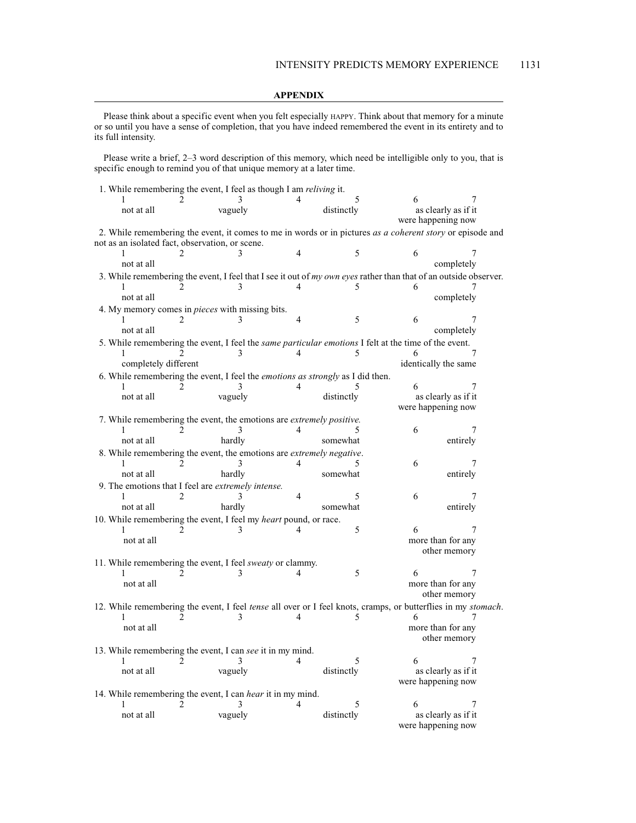Please think about a specific event when you felt especially HAPPY. Think about that memory for a minute or so until you have a sense of completion, that you have indeed remembered the event in its entirety and to its full intensity.

Please write a brief, 2-3 word description of this memory, which need be intelligible only to you, that is specific enough to remind you of that unique memory at a later time.

|            |                      | 1. While remembering the event, I feel as though I am <i>reliving</i> it.                            |                |            |                      |                                                                                                                  |
|------------|----------------------|------------------------------------------------------------------------------------------------------|----------------|------------|----------------------|------------------------------------------------------------------------------------------------------------------|
|            |                      |                                                                                                      |                |            | 6                    | 7                                                                                                                |
| not at all |                      | vaguely                                                                                              |                | distinctly |                      | as clearly as if it                                                                                              |
|            |                      |                                                                                                      |                |            | were happening now   |                                                                                                                  |
|            |                      |                                                                                                      |                |            |                      | 2. While remembering the event, it comes to me in words or in pictures as a coherent story or episode and        |
|            |                      | not as an isolated fact, observation, or scene.                                                      |                |            |                      |                                                                                                                  |
|            | ာ                    |                                                                                                      | 4              | 5          | 6                    |                                                                                                                  |
| not at all |                      |                                                                                                      |                |            |                      | completely                                                                                                       |
|            |                      |                                                                                                      |                |            |                      | 3. While remembering the event, I feel that I see it out of my own eyes rather than that of an outside observer. |
|            |                      | 3                                                                                                    |                | 5          | 6                    |                                                                                                                  |
| not at all |                      |                                                                                                      |                |            |                      | completely                                                                                                       |
|            |                      | 4. My memory comes in <i>pieces</i> with missing bits.                                               |                |            |                      |                                                                                                                  |
|            |                      |                                                                                                      |                | 5          | 6                    |                                                                                                                  |
| not at all |                      |                                                                                                      |                |            |                      | completely                                                                                                       |
|            |                      | 5. While remembering the event, I feel the same particular emotions I felt at the time of the event. |                |            |                      |                                                                                                                  |
|            |                      |                                                                                                      | 4              | 5          |                      |                                                                                                                  |
|            |                      |                                                                                                      |                |            |                      |                                                                                                                  |
|            | completely different |                                                                                                      |                |            | identically the same |                                                                                                                  |
|            |                      | 6. While remembering the event, I feel the <i>emotions as strongly</i> as I did then.                |                |            |                      |                                                                                                                  |
|            |                      |                                                                                                      | 4              |            |                      | 7                                                                                                                |
| not at all |                      | vaguely                                                                                              |                | distinctly |                      | as clearly as if it                                                                                              |
|            |                      |                                                                                                      |                |            | were happening now   |                                                                                                                  |
|            |                      | 7. While remembering the event, the emotions are <i>extremely positive</i> .                         |                |            |                      |                                                                                                                  |
| 1          |                      |                                                                                                      | 4              |            | 6                    | 7                                                                                                                |
| not at all |                      | hardly                                                                                               |                | somewhat   |                      | entirely                                                                                                         |
|            |                      | 8. While remembering the event, the emotions are extremely negative.                                 |                |            |                      |                                                                                                                  |
|            |                      |                                                                                                      | 4              |            | 6                    | 7                                                                                                                |
| not at all |                      | hardly                                                                                               |                | somewhat   |                      | entirely                                                                                                         |
|            |                      | 9. The emotions that I feel are extremely intense.                                                   |                |            |                      |                                                                                                                  |
| 1          | 2                    |                                                                                                      | $\overline{4}$ | 5          | 6                    | 7                                                                                                                |
| not at all |                      | hardly                                                                                               |                | somewhat   |                      | entirely                                                                                                         |
|            |                      | 10. While remembering the event, I feel my heart pound, or race.                                     |                |            |                      |                                                                                                                  |
| 1          |                      |                                                                                                      |                | 5          | 6                    | 7                                                                                                                |
| not at all |                      |                                                                                                      |                |            |                      | more than for any                                                                                                |
|            |                      |                                                                                                      |                |            |                      | other memory                                                                                                     |
|            |                      |                                                                                                      |                |            |                      |                                                                                                                  |
| 1          |                      | 11. While remembering the event, I feel sweaty or clammy.                                            |                | 5          | 6                    | 7                                                                                                                |
| not at all |                      |                                                                                                      |                |            |                      | more than for any                                                                                                |
|            |                      |                                                                                                      |                |            |                      | other memory                                                                                                     |
|            |                      |                                                                                                      |                |            |                      |                                                                                                                  |
|            |                      |                                                                                                      |                |            |                      | 12. While remembering the event, I feel tense all over or I feel knots, cramps, or butterflies in my stomach.    |
| 1          |                      |                                                                                                      | Δ              |            | 6                    |                                                                                                                  |
| not at all |                      |                                                                                                      |                |            |                      | more than for any                                                                                                |
|            |                      |                                                                                                      |                |            |                      | other memory                                                                                                     |
|            |                      | 13. While remembering the event, I can see it in my mind.                                            |                |            |                      |                                                                                                                  |
| 1          |                      |                                                                                                      | 4              |            | 6                    |                                                                                                                  |
| not at all |                      | vaguely                                                                                              |                | distinctly |                      | as clearly as if it                                                                                              |
|            |                      |                                                                                                      |                |            | were happening now   |                                                                                                                  |
|            |                      | 14. While remembering the event, I can hear it in my mind.                                           |                |            |                      |                                                                                                                  |
| 1          |                      |                                                                                                      | Δ              |            |                      |                                                                                                                  |
| not at all |                      | vaguely                                                                                              |                | distinctly |                      | as clearly as if it                                                                                              |
|            |                      |                                                                                                      |                |            | were happening now   |                                                                                                                  |